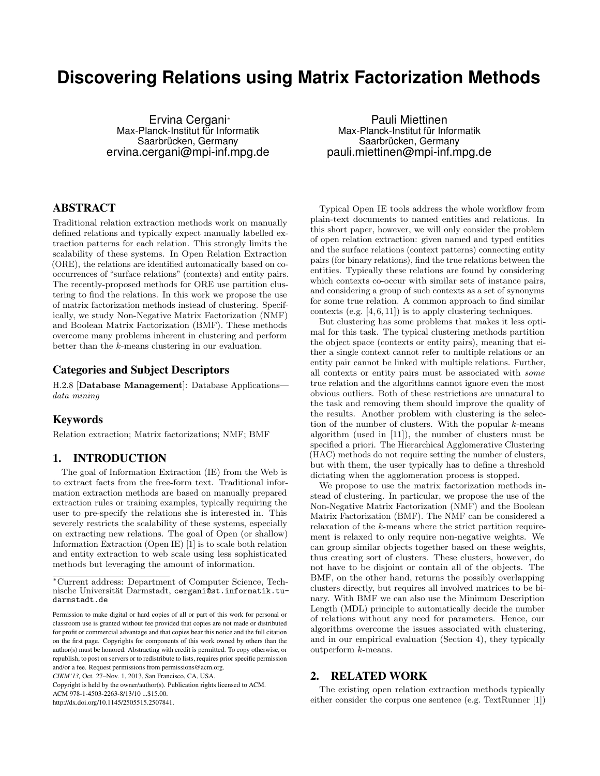# **Discovering Relations using Matrix Factorization Methods**

Ervina Cergani<sup>∗</sup> Max-Planck-Institut für Informatik Saarbrücken, Germany ervina.cergani@mpi-inf.mpg.de

## ABSTRACT

Traditional relation extraction methods work on manually defined relations and typically expect manually labelled extraction patterns for each relation. This strongly limits the scalability of these systems. In Open Relation Extraction (ORE), the relations are identified automatically based on cooccurrences of "surface relations" (contexts) and entity pairs. The recently-proposed methods for ORE use partition clustering to find the relations. In this work we propose the use of matrix factorization methods instead of clustering. Specifically, we study Non-Negative Matrix Factorization (NMF) and Boolean Matrix Factorization (BMF). These methods overcome many problems inherent in clustering and perform better than the k-means clustering in our evaluation.

## Categories and Subject Descriptors

H.2.8 [Database Management]: Database Applications data mining

### Keywords

Relation extraction; Matrix factorizations; NMF; BMF

# 1. INTRODUCTION

The goal of Information Extraction (IE) from the Web is to extract facts from the free-form text. Traditional information extraction methods are based on manually prepared extraction rules or training examples, typically requiring the user to pre-specify the relations she is interested in. This severely restricts the scalability of these systems, especially on extracting new relations. The goal of Open (or shallow) Information Extraction (Open IE) [1] is to scale both relation and entity extraction to web scale using less sophisticated methods but leveraging the amount of information.

*CIKM'13,* Oct. 27–Nov. 1, 2013, San Francisco, CA, USA.

Copyright is held by the owner/author(s). Publication rights licensed to ACM.

ACM 978-1-4503-2263-8/13/10 ...\$15.00.

http://dx.doi.org/10.1145/2505515.2507841.

Pauli Miettinen Max-Planck-Institut für Informatik Saarbrücken, Germany pauli.miettinen@mpi-inf.mpg.de

Typical Open IE tools address the whole workflow from plain-text documents to named entities and relations. In this short paper, however, we will only consider the problem of open relation extraction: given named and typed entities and the surface relations (context patterns) connecting entity pairs (for binary relations), find the true relations between the entities. Typically these relations are found by considering which contexts co-occur with similar sets of instance pairs, and considering a group of such contexts as a set of synonyms for some true relation. A common approach to find similar contexts (e.g.  $[4, 6, 11]$ ) is to apply clustering techniques.

But clustering has some problems that makes it less optimal for this task. The typical clustering methods partition the object space (contexts or entity pairs), meaning that either a single context cannot refer to multiple relations or an entity pair cannot be linked with multiple relations. Further, all contexts or entity pairs must be associated with some true relation and the algorithms cannot ignore even the most obvious outliers. Both of these restrictions are unnatural to the task and removing them should improve the quality of the results. Another problem with clustering is the selection of the number of clusters. With the popular  $k$ -means algorithm (used in [11]), the number of clusters must be specified a priori. The Hierarchical Agglomerative Clustering (HAC) methods do not require setting the number of clusters, but with them, the user typically has to define a threshold dictating when the agglomeration process is stopped.

We propose to use the matrix factorization methods instead of clustering. In particular, we propose the use of the Non-Negative Matrix Factorization (NMF) and the Boolean Matrix Factorization (BMF). The NMF can be considered a relaxation of the k-means where the strict partition requirement is relaxed to only require non-negative weights. We can group similar objects together based on these weights, thus creating sort of clusters. These clusters, however, do not have to be disjoint or contain all of the objects. The BMF, on the other hand, returns the possibly overlapping clusters directly, but requires all involved matrices to be binary. With BMF we can also use the Minimum Description Length (MDL) principle to automatically decide the number of relations without any need for parameters. Hence, our algorithms overcome the issues associated with clustering, and in our empirical evaluation (Section 4), they typically outperform k-means.

## 2. RELATED WORK

The existing open relation extraction methods typically either consider the corpus one sentence (e.g. TextRunner [1])

<sup>∗</sup>Current address: Department of Computer Science, Technische Universität Darmstadt, cergani@st.informatik.tudarmstadt.de

Permission to make digital or hard copies of all or part of this work for personal or classroom use is granted without fee provided that copies are not made or distributed for profit or commercial advantage and that copies bear this notice and the full citation on the first page. Copyrights for components of this work owned by others than the author(s) must be honored. Abstracting with credit is permitted. To copy otherwise, or republish, to post on servers or to redistribute to lists, requires prior specific permission and/or a fee. Request permissions from permissions@acm.org.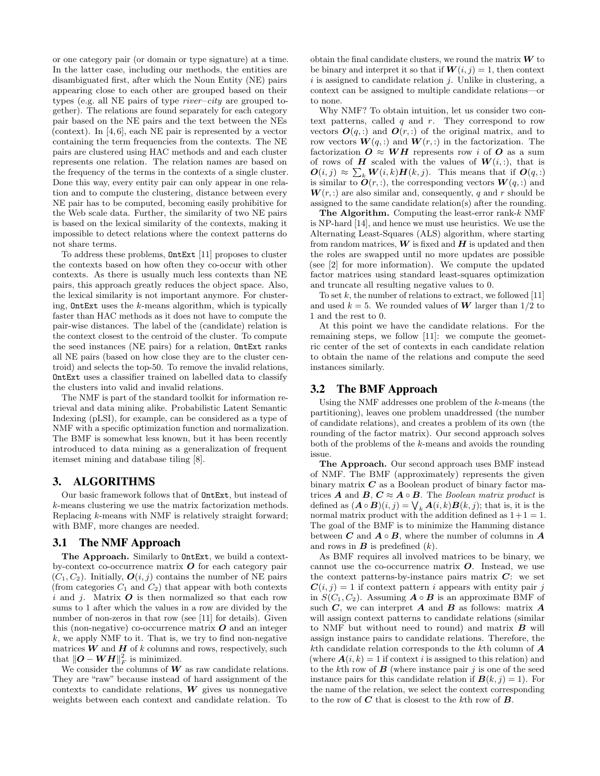or one category pair (or domain or type signature) at a time. In the latter case, including our methods, the entities are disambiguated first, after which the Noun Entity (NE) pairs appearing close to each other are grouped based on their types (e.g. all NE pairs of type river–city are grouped together). The relations are found separately for each category pair based on the NE pairs and the text between the NEs (context). In  $[4, 6]$ , each NE pair is represented by a vector containing the term frequencies from the contexts. The NE pairs are clustered using HAC methods and and each cluster represents one relation. The relation names are based on the frequency of the terms in the contexts of a single cluster. Done this way, every entity pair can only appear in one relation and to compute the clustering, distance between every NE pair has to be computed, becoming easily prohibitive for the Web scale data. Further, the similarity of two NE pairs is based on the lexical similarity of the contexts, making it impossible to detect relations where the context patterns do not share terms.

To address these problems, OntExt [11] proposes to cluster the contexts based on how often they co-occur with other contexts. As there is usually much less contexts than NE pairs, this approach greatly reduces the object space. Also, the lexical similarity is not important anymore. For clustering, OntExt uses the k-means algorithm, which is typically faster than HAC methods as it does not have to compute the pair-wise distances. The label of the (candidate) relation is the context closest to the centroid of the cluster. To compute the seed instances (NE pairs) for a relation, OntExt ranks all NE pairs (based on how close they are to the cluster centroid) and selects the top-50. To remove the invalid relations, OntExt uses a classifier trained on labelled data to classify the clusters into valid and invalid relations.

The NMF is part of the standard toolkit for information retrieval and data mining alike. Probabilistic Latent Semantic Indexing (pLSI), for example, can be considered as a type of NMF with a specific optimization function and normalization. The BMF is somewhat less known, but it has been recently introduced to data mining as a generalization of frequent itemset mining and database tiling [8].

#### 3. ALGORITHMS

Our basic framework follows that of OntExt, but instead of k-means clustering we use the matrix factorization methods. Replacing k-means with NMF is relatively straight forward; with BMF, more changes are needed.

#### 3.1 The NMF Approach

The Approach. Similarly to OntExt, we build a contextby-context co-occurrence matrix  $\boldsymbol{O}$  for each category pair  $(C_1, C_2)$ . Initially,  $\mathbf{O}(i, j)$  contains the number of NE pairs (from categories  $C_1$  and  $C_2$ ) that appear with both contexts i and j. Matrix  $\boldsymbol{O}$  is then normalized so that each row sums to 1 after which the values in a row are divided by the number of non-zeros in that row (see [11] for details). Given this (non-negative) co-occurrence matrix  $\boldsymbol{O}$  and an integer  $k$ , we apply NMF to it. That is, we try to find non-negative matrices  $W$  and  $H$  of k columns and rows, respectively, such that  $\|\boldsymbol{O} - \boldsymbol{W}\boldsymbol{H}\|_F^2$  is minimized.

We consider the columns of  $W$  as raw candidate relations. They are "raw" because instead of hard assignment of the contexts to candidate relations,  $W$  gives us nonnegative weights between each context and candidate relation. To

obtain the final candidate clusters, we round the matrix  $W$  to be binary and interpret it so that if  $W(i, j) = 1$ , then context  $i$  is assigned to candidate relation  $j$ . Unlike in clustering, a context can be assigned to multiple candidate relations—or to none.

Why NMF? To obtain intuition, let us consider two context patterns, called  $q$  and  $r$ . They correspond to row vectors  $\mathbf{O}(q,.)$  and  $\mathbf{O}(r,.)$  of the original matrix, and to row vectors  $W(q,.)$  and  $W(r,.)$  in the factorization. The factorization  $\mathbf{O} \approx \mathbf{W}\mathbf{H}$  represents row i of  $\mathbf{O}$  as a sum of rows of H scaled with the values of  $W(i,:)$ , that is  $\mathbf{O}(i,j) \approx \sum_k \mathbf{W}(i,k) \mathbf{H}(k,j)$ . This means that if  $\mathbf{O}(q, j)$ is similar to  $\mathbf{O}(r, :)$ , the corresponding vectors  $\mathbf{W}(q, :)$  and  $W(r,.)$  are also similar and, consequently, q and r should be assigned to the same candidate relation(s) after the rounding.

The Algorithm. Computing the least-error rank- $k$  NMF is NP-hard [14], and hence we must use heuristics. We use the Alternating Least-Squares (ALS) algorithm, where starting from random matrices,  $W$  is fixed and  $H$  is updated and then the roles are swapped until no more updates are possible (see [2] for more information). We compute the updated factor matrices using standard least-squares optimization and truncate all resulting negative values to 0.

To set  $k$ , the number of relations to extract, we followed [11] and used  $k = 5$ . We rounded values of **W** larger than 1/2 to 1 and the rest to 0.

At this point we have the candidate relations. For the remaining steps, we follow [11]: we compute the geometric center of the set of contexts in each candidate relation to obtain the name of the relations and compute the seed instances similarly.

#### 3.2 The BMF Approach

Using the NMF addresses one problem of the k-means (the partitioning), leaves one problem unaddressed (the number of candidate relations), and creates a problem of its own (the rounding of the factor matrix). Our second approach solves both of the problems of the k-means and avoids the rounding issue.

The Approach. Our second approach uses BMF instead of NMF. The BMF (approximately) represents the given binary matrix  $C$  as a Boolean product of binary factor matrices **A** and **B**,  $C \approx A \circ B$ . The Boolean matrix product is defined as  $(\mathbf{A} \circ \mathbf{B})(i, j) = \bigvee_k \mathbf{A}(i, k) \mathbf{B}(k, j)$ ; that is, it is the normal matrix product with the addition defined as  $1+1=1$ . The goal of the BMF is to minimize the Hamming distance between  $C$  and  $A \circ B$ , where the number of columns in  $A$ and rows in  $\bf{B}$  is predefined  $(k)$ .

As BMF requires all involved matrices to be binary, we cannot use the co-occurrence matrix  $O$ . Instead, we use the context patterns-by-instance pairs matrix  $C$ : we set  $C(i, j) = 1$  if context pattern i appears with entity pair j in  $S(C_1, C_2)$ . Assuming  $\mathbf{A} \circ \mathbf{B}$  is an approximate BMF of such  $C$ , we can interpret  $A$  and  $B$  as follows: matrix  $A$ will assign context patterns to candidate relations (similar to NMF but without need to round) and matrix  $\boldsymbol{B}$  will assign instance pairs to candidate relations. Therefore, the kth candidate relation corresponds to the kth column of  $\boldsymbol{A}$ (where  $\mathbf{A}(i,k) = 1$  if context i is assigned to this relation) and to the kth row of  $\bf{B}$  (where instance pair j is one of the seed instance pairs for this candidate relation if  $\mathbf{B}(k, j) = 1$ . For the name of the relation, we select the context corresponding to the row of  $C$  that is closest to the kth row of  $B$ .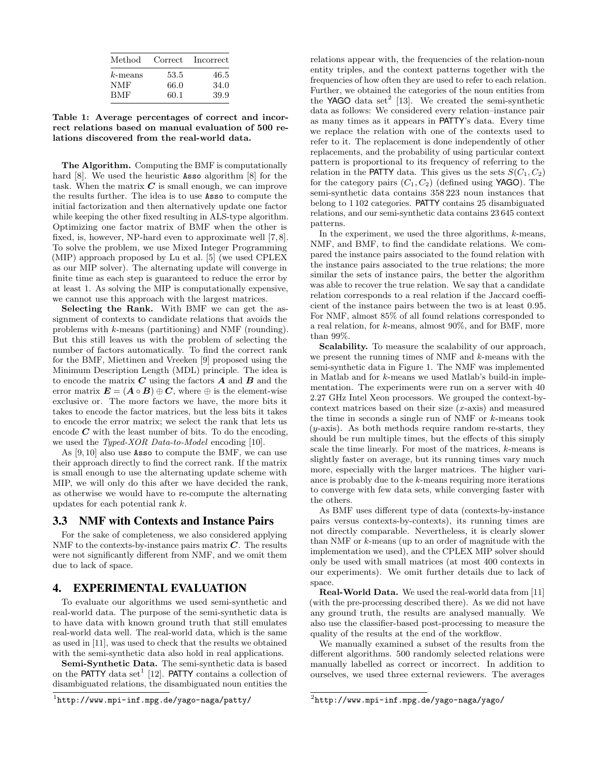| Method     |      | Correct Incorrect |
|------------|------|-------------------|
| $k$ -means | 53.5 | 46.5              |
| NMF        | 66.0 | 34.0              |
| <b>BMF</b> | 60.1 | 39.9              |

Table 1: Average percentages of correct and incorrect relations based on manual evaluation of 500 relations discovered from the real-world data.

The Algorithm. Computing the BMF is computationally hard [8]. We used the heuristic Asso algorithm [8] for the task. When the matrix  $C$  is small enough, we can improve the results further. The idea is to use Asso to compute the initial factorization and then alternatively update one factor while keeping the other fixed resulting in ALS-type algorithm. Optimizing one factor matrix of BMF when the other is fixed, is, however, NP-hard even to approximate well [7, 8]. To solve the problem, we use Mixed Integer Programming (MIP) approach proposed by Lu et al. [5] (we used CPLEX as our MIP solver). The alternating update will converge in finite time as each step is guaranteed to reduce the error by at least 1. As solving the MIP is computationally expensive, we cannot use this approach with the largest matrices.

Selecting the Rank. With BMF we can get the assignment of contexts to candidate relations that avoids the problems with k-means (partitioning) and NMF (rounding). But this still leaves us with the problem of selecting the number of factors automatically. To find the correct rank for the BMF, Miettinen and Vreeken [9] proposed using the Minimum Description Length (MDL) principle. The idea is to encode the matrix  $C$  using the factors  $A$  and  $B$  and the error matrix  $\mathbf{E} = (\mathbf{A} \circ \mathbf{B}) \oplus \mathbf{C}$ , where  $\oplus$  is the element-wise exclusive or. The more factors we have, the more bits it takes to encode the factor matrices, but the less bits it takes to encode the error matrix; we select the rank that lets us encode  $C$  with the least number of bits. To do the encoding, we used the Typed-XOR Data-to-Model encoding [10].

As [9, 10] also use Asso to compute the BMF, we can use their approach directly to find the correct rank. If the matrix is small enough to use the alternating update scheme with MIP, we will only do this after we have decided the rank, as otherwise we would have to re-compute the alternating updates for each potential rank k.

#### 3.3 NMF with Contexts and Instance Pairs

For the sake of completeness, we also considered applying NMF to the contexts-by-instance pairs matrix  $C$ . The results were not significantly different from NMF, and we omit them due to lack of space.

#### 4. EXPERIMENTAL EVALUATION

To evaluate our algorithms we used semi-synthetic and real-world data. The purpose of the semi-synthetic data is to have data with known ground truth that still emulates real-world data well. The real-world data, which is the same as used in [11], was used to check that the results we obtained with the semi-synthetic data also hold in real applications.

Semi-Synthetic Data. The semi-synthetic data is based on the **PATTY** data set<sup>1</sup> [12]. **PATTY** contains a collection of disambiguated relations, the disambiguated noun entities the relations appear with, the frequencies of the relation-noun entity triples, and the context patterns together with the frequencies of how often they are used to refer to each relation. Further, we obtained the categories of the noun entities from the YAGO data set<sup>2</sup> [13]. We created the semi-synthetic data as follows: We considered every relation–instance pair as many times as it appears in PATTY's data. Every time we replace the relation with one of the contexts used to refer to it. The replacement is done independently of other replacements, and the probability of using particular context pattern is proportional to its frequency of referring to the relation in the **PATTY** data. This gives us the sets  $S(C_1, C_2)$ for the category pairs  $(C_1, C_2)$  (defined using YAGO). The semi-synthetic data contains 358 223 noun instances that belong to 1 102 categories. PATTY contains 25 disambiguated relations, and our semi-synthetic data contains 23 645 context patterns.

In the experiment, we used the three algorithms, k-means, NMF, and BMF, to find the candidate relations. We compared the instance pairs associated to the found relation with the instance pairs associated to the true relations; the more similar the sets of instance pairs, the better the algorithm was able to recover the true relation. We say that a candidate relation corresponds to a real relation if the Jaccard coefficient of the instance pairs between the two is at least 0.95. For NMF, almost 85% of all found relations corresponded to a real relation, for k-means, almost 90%, and for BMF, more than 99%.

Scalability. To measure the scalability of our approach, we present the running times of NMF and k-means with the semi-synthetic data in Figure 1. The NMF was implemented in Matlab and for k-means we used Matlab's build-in implementation. The experiments were run on a server with 40 2.27 GHz Intel Xeon processors. We grouped the context-bycontext matrices based on their size  $(x\text{-axis})$  and measured the time in seconds a single run of NMF or k-means took  $(y\text{-axis})$ . As both methods require random re-starts, they should be run multiple times, but the effects of this simply scale the time linearly. For most of the matrices, k-means is slightly faster on average, but its running times vary much more, especially with the larger matrices. The higher variance is probably due to the  $k$ -means requiring more iterations to converge with few data sets, while converging faster with the others.

As BMF uses different type of data (contexts-by-instance pairs versus contexts-by-contexts), its running times are not directly comparable. Nevertheless, it is clearly slower than NMF or k-means (up to an order of magnitude with the implementation we used), and the CPLEX MIP solver should only be used with small matrices (at most 400 contexts in our experiments). We omit further details due to lack of space.

Real-World Data. We used the real-world data from [11] (with the pre-processing described there). As we did not have any ground truth, the results are analysed manually. We also use the classifier-based post-processing to measure the quality of the results at the end of the workflow.

We manually examined a subset of the results from the different algorithms. 500 randomly selected relations were manually labelled as correct or incorrect. In addition to ourselves, we used three external reviewers. The averages

<sup>1</sup> http://www.mpi-inf.mpg.de/yago-naga/patty/

 $^{2}$ http://www.mpi-inf.mpg.de/yago-naga/yago/